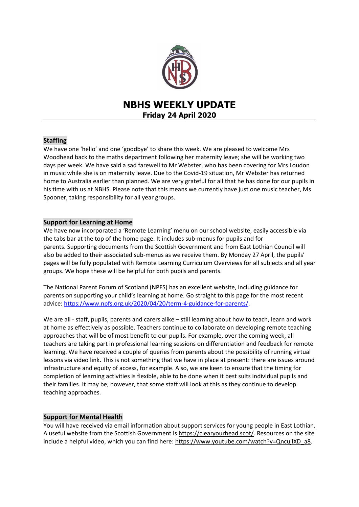

# **NBHS WEEKLY UPDATE Friday 24 April 2020**

## **Staffing**

We have one 'hello' and one 'goodbye' to share this week. We are pleased to welcome Mrs Woodhead back to the maths department following her maternity leave; she will be working two days per week. We have said a sad farewell to Mr Webster, who has been covering for Mrs Loudon in music while she is on maternity leave. Due to the Covid-19 situation, Mr Webster has returned home to Australia earlier than planned. We are very grateful for all that he has done for our pupils in his time with us at NBHS. Please note that this means we currently have just one music teacher, Ms Spooner, taking responsibility for all year groups.

## **Support for Learning at Home**

We have now incorporated a 'Remote Learning' menu on our school website, easily accessible via the tabs bar at the top of the home page. It includes sub-menus for pupils and for parents. Supporting documents from the Scottish Government and from East Lothian Council will also be added to their associated sub-menus as we receive them. By Monday 27 April, the pupils' pages will be fully populated with Remote Learning Curriculum Overviews for all subjects and all year groups. We hope these will be helpful for both pupils and parents.

The National Parent Forum of Scotland (NPFS) has an excellent website, including guidance for parents on supporting your child's learning at home. Go straight to this page for the most recent advice: [https://www.npfs.org.uk/2020/04/20/term-4-guidance-for-parents/.](https://www.npfs.org.uk/2020/04/20/term-4-guidance-for-parents/)

We are all - staff, pupils, parents and carers alike – still learning about how to teach, learn and work at home as effectively as possible. Teachers continue to collaborate on developing remote teaching approaches that will be of most benefit to our pupils. For example, over the coming week, all teachers are taking part in professional learning sessions on differentiation and feedback for remote learning. We have received a couple of queries from parents about the possibility of running virtual lessons via video link. This is not something that we have in place at present: there are issues around infrastructure and equity of access, for example. Also, we are keen to ensure that the timing for completion of learning activities is flexible, able to be done when it best suits individual pupils and their families. It may be, however, that some staff will look at this as they continue to develop teaching approaches.

## **Support for Mental Health**

You will have received via email information about support services for young people in East Lothian. A useful website from the Scottish Government is [https://clearyourhead.scot/.](https://clearyourhead.scot/) Resources on the site include a helpful video, which you can find here[: https://www.youtube.com/watch?v=QncujlXD\\_a8.](https://www.youtube.com/watch?v=QncujlXD_a8)